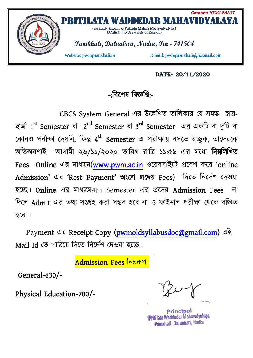

## **Date- 20/11/2020**

## **-:িবেশষ িবÑিĮ:-**

CBCS System General এর উল্লেখিত তালিকার যে সমস্ত ছাত্র-ছাøী **1 st Semester** বা **2 nd Semester** বা **3 rd Semester** এর একিট বা দুিট বা কোনও পরীক্ষা দেয়নি, কিন্তু 4<sup>th</sup> Semester এ পরীক্ষায় বসতে ইচ্ছুক, তাদেরকে অতিঅবশ্যই আগামী ২৬/১১/২০২০ তারিখ রাত্রি ১১:৫৯ এর মধ্যে নিম্নলিখিত **Fees Online** এর মাধেম(**www.pwm.ac.in** ওেয়বসাইেট Ĵেবশ কের '**online Admission'** এর **'Rest Payment' অংেশ Ĵেদয় Fees)** িদেত িনেদƳশ Ʊদওয়া হেÅ। **Online** এর মাধেম4th Semester এর Ĵেদয় **Admission Fees** না দিলে Admit এর তথ্য সংগ্রহ করা সম্ভব হবে না ও ফাইনাল পরীক্ষা থেকে বঞ্চিত হেব ।

 Payment এর **Receipt Copy (pwmoldsyllabusdoc@gmail.com)** এই  $M$ ail Id তে পাঠিয়ে দিতে নির্দেশ দেওয়া হচ্ছে।

**Admission Fees নিম্নর্ক**ণ-

 **General-630/-** 

**Physical Education-700/-** 

Principal tilata Waddedar Mahavıdyalaya Panikhali, Daluabari, Nadia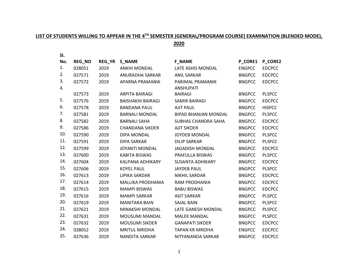## **LIST OF STUDENTS WILLING TO APPEAR IN THE 4TH SEMESTER (GENERAL/PROGRAM COURSE) EXAMINATION (BLENDED MODE),**

**2020**

| SI. |        |        |                          |                             |                |               |
|-----|--------|--------|--------------------------|-----------------------------|----------------|---------------|
| No. | REG_NO | REG_YR | <b>S_NAME</b>            | <b>F_NAME</b>               | <b>P_CORE1</b> | P_CORE2       |
| 1.  | 028051 | 2019   | <b>ANKHI MONDAL</b>      | LATE ASHIS MONDAL           | <b>ENGPCC</b>  | <b>EDCPCC</b> |
| 2.  | 027571 | 2019   | ANURADHA SARKAR          | <b>ANIL SARKAR</b>          | <b>BNGPCC</b>  | <b>EDCPCC</b> |
| 3.  | 027572 | 2019   | APARNA PRAMANIK          | PARIMAL PRAMANIK            | <b>BNGPCC</b>  | <b>EDCPCC</b> |
| 4.  |        |        |                          | <b>ANSHUPATI</b>            |                |               |
|     | 027573 | 2019   | <b>ARPITA BAIRAGI</b>    | <b>BAIRAGI</b>              | <b>BNGPCC</b>  | <b>PLSPCC</b> |
| 5.  | 027576 | 2019   | <b>BAISHAKHI BAIRAGI</b> | SAMIR BAIRAGI               | <b>BNGPCC</b>  | <b>EDCPCC</b> |
| 6.  | 027578 | 2019   | <b>BANDANA PAUL</b>      | <b>AJIT PAUL</b>            | <b>BNGPCC</b>  | <b>HISPCC</b> |
| 7.  | 027581 | 2019   | <b>BARNALI MONDAL</b>    | <b>BIPAD BHANJAN MONDAL</b> | <b>BNGPCC</b>  | <b>PLSPCC</b> |
| 8.  | 027582 | 2019   | <b>BARNALI SAHA</b>      | SUBHAS CHANDRA SAHA         | <b>BNGPCC</b>  | <b>EDCPCC</b> |
| 9.  | 027586 | 2019   | <b>CHANDANA SIKDER</b>   | <b>AJIT SIKDER</b>          | <b>BNGPCC</b>  | <b>EDCPCC</b> |
| 10. | 027590 | 2019   | DIPA MONDAL              | <b>JOYDEB MONDAL</b>        | <b>BNGPCC</b>  | <b>PLSPCC</b> |
| 11. | 027591 | 2019   | <b>DIPA SARKAR</b>       | <b>DILIP SARKAR</b>         | <b>BNGPCC</b>  | <b>PLSPCC</b> |
| 12. | 027599 | 2019   | <b>JOYANTI MONDAL</b>    | <b>JAGADISH MONDAL</b>      | <b>BNGPCC</b>  | <b>EDCPCC</b> |
| 13. | 027600 | 2019   | <b>KABITA BISWAS</b>     | PRAFULLA BISWAS             | <b>BNGPCC</b>  | <b>PLSPCC</b> |
| 14. | 027604 | 2019   | KALPANA ADHIKARY         | <b>SUSANTA ADHIKARY</b>     | <b>BNGPCC</b>  | <b>EDCPCC</b> |
| 15. | 027606 | 2019   | <b>KOYEL PAUL</b>        | <b>JAYDEB PAUL</b>          | <b>BNGPCC</b>  | <b>PLSPCC</b> |
| 16. | 027613 | 2019   | LIPIKA SARDAR            | <b>NIKHIL SARDAR</b>        | <b>BNGPCC</b>  | <b>EDCPCC</b> |
| 17. | 027614 | 2019   | MALLIKA PRODHANIA        | <b>RAM PRODHANIA</b>        | <b>BNGPCC</b>  | <b>EDCPCC</b> |
| 18. | 027615 | 2019   | <b>MAMPI BISWAS</b>      | <b>BABU BISWAS</b>          | <b>BNGPCC</b>  | <b>EDCPCC</b> |
| 19. | 027616 | 2019   | <b>MAMPI SARKAR</b>      | <b>ASIT SARKAR</b>          | <b>BNGPCC</b>  | <b>PLSPCC</b> |
| 20. | 027619 | 2019   | <b>MANITARA BAIN</b>     | <b>SAJAL BAIN</b>           | <b>BNGPCC</b>  | <b>PLSPCC</b> |
| 21. | 027621 | 2019   | MINAKSHI MONDAL          | LATE GANESH MONDAL          | <b>BNGPCC</b>  | <b>PLSPCC</b> |
| 22. | 027631 | 2019   | MOUSUMI MANDAL           | <b>MALEK MANDAL</b>         | <b>BNGPCC</b>  | <b>PLSPCC</b> |
| 23. | 027632 | 2019   | <b>MOUSUMI SIKDER</b>    | <b>GANAPATI SIKDER</b>      | <b>BNGPCC</b>  | <b>EDCPCC</b> |
| 24. | 028052 | 2019   | <b>MRITUL MRIDHA</b>     | <b>TAPAN KR MRIDHA</b>      | <b>ENGPCC</b>  | <b>EDCPCC</b> |
| 25. | 027636 | 2019   | <b>NANDITA SARKAR</b>    | NITYANANDA SARKAR           | <b>BNGPCC</b>  | <b>EDCPCC</b> |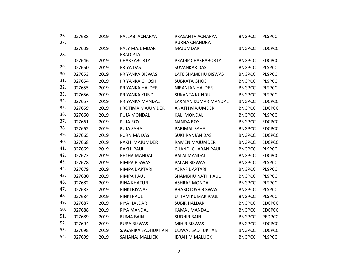| 26.<br>27. | 027638 | 2019 | PALLABI ACHARYA        | PRASANTA ACHARYA<br>PURNA CHANDRA | <b>BNGPCC</b> | <b>PLSPCC</b> |
|------------|--------|------|------------------------|-----------------------------------|---------------|---------------|
|            | 027639 | 2019 | PALY MAJUMDAR          | <b>MAJUMDAR</b>                   | <b>BNGPCC</b> | <b>EDCPCC</b> |
| 28.        |        |      | <b>PRADIPTA</b>        |                                   |               |               |
|            | 027646 | 2019 | <b>CHAKRABORTY</b>     | PRADIP CHAKRABORTY                | <b>BNGPCC</b> | <b>EDCPCC</b> |
| 29.        | 027650 | 2019 | PRIYA DAS              | <b>SUVANKAR DAS</b>               | <b>BNGPCC</b> | <b>PLSPCC</b> |
| 30.        | 027653 | 2019 | PRIYANKA BISWAS        | LATE SHAMBHU BISWAS               | <b>BNGPCC</b> | <b>PLSPCC</b> |
| 31.        | 027654 | 2019 | PRIYANKA GHOSH         | <b>SUBRATA GHOSH</b>              | <b>BNGPCC</b> | <b>PLSPCC</b> |
| 32.        | 027655 | 2019 | PRIYANKA HALDER        | NIRANJAN HALDER                   | <b>BNGPCC</b> | <b>PLSPCC</b> |
| 33.        | 027656 | 2019 | PRIYANKA KUNDU         | <b>SUKANTA KUNDU</b>              | <b>BNGPCC</b> | <b>PLSPCC</b> |
| 34.        | 027657 | 2019 | PRIYANKA MANDAL        | LAXMAN KUMAR MANDAL               | <b>BNGPCC</b> | <b>EDCPCC</b> |
| 35.        | 027659 | 2019 | PROTIMA MAJUMDER       | ANATH MAJUMDER                    | <b>BNGPCC</b> | <b>EDCPCC</b> |
| 36.        | 027660 | 2019 | PUJA MONDAL            | <b>KALI MONDAL</b>                | <b>BNGPCC</b> | <b>PLSPCC</b> |
| 37.        | 027661 | 2019 | <b>PUJA ROY</b>        | <b>NANDA ROY</b>                  | <b>BNGPCC</b> | <b>EDCPCC</b> |
| 38.        | 027662 | 2019 | PUJA SAHA              | PARIMAL SAHA                      | <b>BNGPCC</b> | <b>EDCPCC</b> |
| 39.        | 027665 | 2019 | PURNIMA DAS            | <b>SUKHRANJAN DAS</b>             | <b>BNGPCC</b> | <b>EDCPCC</b> |
| 40.        | 027668 | 2019 | RAKHI MAJUMDER         | <b>RAMEN MAJUMDER</b>             | <b>BNGPCC</b> | <b>EDCPCC</b> |
| 41.        | 027669 | 2019 | <b>RAKHI PAUL</b>      | <b>CHANDI CHARAN PAUL</b>         | <b>BNGPCC</b> | <b>PLSPCC</b> |
| 42.        | 027673 | 2019 | REKHA MANDAL           | <b>BALAI MANDAL</b>               | <b>BNGPCC</b> | <b>EDCPCC</b> |
| 43.        | 027678 | 2019 | RIMPA BISWAS           | <b>PALAN BISWAS</b>               | <b>BNGPCC</b> | <b>PLSPCC</b> |
| 44.        | 027679 | 2019 | RIMPA DAPTARI          | <b>ASRAF DAPTARI</b>              | <b>BNGPCC</b> | <b>PLSPCC</b> |
| 45.        | 027680 | 2019 | <b>RIMPA PAUL</b>      | SHAMBHU NATH PAUL                 | <b>BNGPCC</b> | <b>PLSPCC</b> |
| 46.        | 027682 | 2019 | <b>RINA KHATUN</b>     | <b>ASHRAF MONDAL</b>              | <b>BNGPCC</b> | <b>PLSPCC</b> |
| 47.        | 027683 | 2019 | <b>RINKI BISWAS</b>    | <b>BHABOTOSH BISWAS</b>           | <b>BNGPCC</b> | <b>PLSPCC</b> |
| 48.        | 027684 | 2019 | <b>RINKI PAUL</b>      | UTTAM KUMAR PAUL                  | <b>BNGPCC</b> | <b>PLSPCC</b> |
| 49.        | 027687 | 2019 | RIYA HALDAR            | <b>SUBIR HALDAR</b>               | <b>BNGPCC</b> | <b>EDCPCC</b> |
| 50.        | 027688 | 2019 | RIYA MANDAL            | <b>KAMAL MANDAL</b>               | <b>BNGPCC</b> | <b>EDCPCC</b> |
| 51.        | 027689 | 2019 | <b>RUMA BAIN</b>       | <b>SUDHIR BAIN</b>                | <b>BNGPCC</b> | PEDPCC        |
| 52.        | 027694 | 2019 | <b>RUPA BISWAS</b>     | <b>MIHIR BISWAS</b>               | <b>BNGPCC</b> | <b>EDCPCC</b> |
| 53.        | 027698 | 2019 | SAGARIKA SADHUKHAN     | UJJWAL SADHUKHAN                  | <b>BNGPCC</b> | <b>EDCPCC</b> |
| 54.        | 027699 | 2019 | <b>SAHANAJ MALLICK</b> | <b>IBRAHIM MALLICK</b>            | <b>BNGPCC</b> | <b>PLSPCC</b> |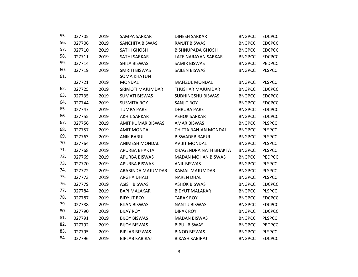| 55. | 027705 | 2019 | SAMPA SARKAR             | <b>DINESH SARKAR</b>      | <b>BNGPCC</b> | <b>EDCPCC</b> |
|-----|--------|------|--------------------------|---------------------------|---------------|---------------|
| 56. | 027706 | 2019 | SANCHITA BISWAS          | <b>RANJIT BISWAS</b>      | <b>BNGPCC</b> | <b>EDCPCC</b> |
| 57. | 027710 | 2019 | <b>SATHI GHOSH</b>       | <b>BISHNUPADA GHOSH</b>   | <b>BNGPCC</b> | <b>EDCPCC</b> |
| 58. | 027711 | 2019 | <b>SATHI SARKAR</b>      | LATE NARAYAN SARKAR       | <b>BNGPCC</b> | <b>EDCPCC</b> |
| 59. | 027714 | 2019 | SHILA BISWAS             | <b>SAMIR BISWAS</b>       | <b>BNGPCC</b> | <b>PEDPCC</b> |
| 60. | 027719 | 2019 | <b>SMRITI BISWAS</b>     | <b>SAILEN BISWAS</b>      | <b>BNGPCC</b> | <b>PLSPCC</b> |
| 61. |        |      | <b>SOMA KHATUN</b>       |                           |               |               |
|     | 027721 | 2019 | <b>MONDAL</b>            | <b>MAFIZUL MONDAL</b>     | <b>BNGPCC</b> | <b>PLSPCC</b> |
| 62. | 027725 | 2019 | SRIMOTI MAJUMDAR         | THUSHAR MAJUMDAR          | <b>BNGPCC</b> | <b>EDCPCC</b> |
| 63. | 027735 | 2019 | <b>SUMATI BISWAS</b>     | SUDHINGSHU BISWAS         | <b>BNGPCC</b> | <b>EDCPCC</b> |
| 64. | 027744 | 2019 | <b>SUSMITA ROY</b>       | <b>SANJIT ROY</b>         | <b>BNGPCC</b> | <b>EDCPCC</b> |
| 65. | 027747 | 2019 | <b>TUMPA PARE</b>        | <b>DHRUBA PARE</b>        | <b>BNGPCC</b> | <b>EDCPCC</b> |
| 66. | 027755 | 2019 | <b>AKHIL SARKAR</b>      | <b>ASHOK SARKAR</b>       | <b>BNGPCC</b> | <b>EDCPCC</b> |
| 67. | 027756 | 2019 | <b>AMIT KUMAR BISWAS</b> | <b>AMAR BISWAS</b>        | <b>BNGPCC</b> | <b>PLSPCC</b> |
| 68. | 027757 | 2019 | <b>AMIT MONDAL</b>       | CHITTA RANJAN MONDAL      | <b>BNGPCC</b> | <b>PLSPCC</b> |
| 69. | 027763 | 2019 | <b>ANIK BARUI</b>        | <b>BISWADEB BARUI</b>     | <b>BNGPCC</b> | <b>PLSPCC</b> |
| 70. | 027764 | 2019 | ANIMESH MONDAL           | <b>AVIJIT MONDAL</b>      | <b>BNGPCC</b> | <b>PLSPCC</b> |
| 71. | 027768 | 2019 | APURBA BHAKTA            | KHAGENDRA NATH BHAKTA     | <b>BNGPCC</b> | <b>PLSPCC</b> |
| 72. | 027769 | 2019 | APURBA BISWAS            | <b>MADAN MOHAN BISWAS</b> | <b>BNGPCC</b> | <b>PEDPCC</b> |
| 73. | 027770 | 2019 | APURBA BISWAS            | <b>ANIL BISWAS</b>        | <b>BNGPCC</b> | <b>PLSPCC</b> |
| 74. | 027772 | 2019 | ARABINDA MAJUMDAR        | KAMAL MAJUMDAR            | <b>BNGPCC</b> | <b>PLSPCC</b> |
| 75. | 027773 | 2019 | <b>ARGHA DHALI</b>       | <b>NAREN DHALI</b>        | <b>BNGPCC</b> | <b>PLSPCC</b> |
| 76. | 027779 | 2019 | <b>ASISH BISWAS</b>      | <b>ASHOK BISWAS</b>       | <b>BNGPCC</b> | <b>EDCPCC</b> |
| 77. | 027784 | 2019 | <b>BAPI MALAKAR</b>      | <b>BIDYUT MALAKAR</b>     | <b>BNGPCC</b> | <b>PLSPCC</b> |
| 78. | 027787 | 2019 | <b>BIDYUT ROY</b>        | <b>TARAK ROY</b>          | <b>BNGPCC</b> | <b>EDCPCC</b> |
| 79. | 027788 | 2019 | <b>BIJAN BISWAS</b>      | <b>NANTU BISWAS</b>       | <b>BNGPCC</b> | <b>EDCPCC</b> |
| 80. | 027790 | 2019 | <b>BIJAY ROY</b>         | <b>DIPAK ROY</b>          | <b>BNGPCC</b> | <b>EDCPCC</b> |
| 81. | 027791 | 2019 | <b>BIJOY BISWAS</b>      | <b>MADAN BISWAS</b>       | <b>BNGPCC</b> | <b>PLSPCC</b> |
| 82. | 027792 | 2019 | <b>BIJOY BISWAS</b>      | <b>BIPUL BISWAS</b>       | <b>BNGPCC</b> | <b>PEDPCC</b> |
| 83. | 027795 | 2019 | <b>BIPLAB BISWAS</b>     | <b>BINOD BISWAS</b>       | <b>BNGPCC</b> | <b>PLSPCC</b> |
| 84. | 027796 | 2019 | <b>BIPLAB KABIRAJ</b>    | <b>BIKASH KABIRAJ</b>     | <b>BNGPCC</b> | <b>EDCPCC</b> |
|     |        |      |                          |                           |               |               |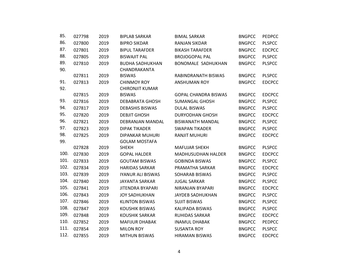| 85.  | 027798 | 2019 | <b>BIPLAB SARKAR</b>     | <b>BIMAL SARKAR</b>         | <b>BNGPCC</b> | <b>PEDPCC</b> |
|------|--------|------|--------------------------|-----------------------------|---------------|---------------|
| 86.  | 027800 | 2019 | <b>BIPRO SIKDAR</b>      | <b>RANJAN SIKDAR</b>        | <b>BNGPCC</b> | <b>PLSPCC</b> |
| 87.  | 027801 | 2019 | <b>BIPUL TARAFDER</b>    | <b>BIKASH TARAFDER</b>      | <b>BNGPCC</b> | <b>EDCPCC</b> |
| 88.  | 027805 | 2019 | <b>BISWAJIT PAL</b>      | <b>BROJOGOPAL PAL</b>       | <b>BNGPCC</b> | <b>PLSPCC</b> |
| 89.  | 027810 | 2019 | <b>BUDHA SADHUKHAN</b>   | <b>BONOMALE SADHUKHAN</b>   | <b>BNGPCC</b> | <b>PLSPCC</b> |
| 90.  |        |      | CHANDRAKANTA             |                             |               |               |
|      | 027811 | 2019 | <b>BISWAS</b>            | RABINDRANATH BISWAS         | <b>BNGPCC</b> | <b>PLSPCC</b> |
| 91.  | 027813 | 2019 | <b>CHINMOY ROY</b>       | <b>ANSHUMAN ROY</b>         | <b>BNGPCC</b> | <b>EDCPCC</b> |
| 92.  |        |      | <b>CHIRONJIT KUMAR</b>   |                             |               |               |
|      | 027815 | 2019 | <b>BISWAS</b>            | <b>GOPAL CHANDRA BISWAS</b> | <b>BNGPCC</b> | <b>EDCPCC</b> |
| 93.  | 027816 | 2019 | <b>DEBABRATA GHOSH</b>   | <b>SUMANGAL GHOSH</b>       | <b>BNGPCC</b> | <b>PLSPCC</b> |
| 94.  | 027817 | 2019 | <b>DEBASHIS BISWAS</b>   | <b>DULAL BISWAS</b>         | <b>BNGPCC</b> | <b>PLSPCC</b> |
| 95.  | 027820 | 2019 | <b>DEBJIT GHOSH</b>      | <b>DURYODHAN GHOSH</b>      | <b>BNGPCC</b> | <b>EDCPCC</b> |
| 96.  | 027821 | 2019 | DEBRANJAN MANDAL         | <b>BISWANATH MANDAL</b>     | <b>BNGPCC</b> | <b>PLSPCC</b> |
| 97.  | 027823 | 2019 | <b>DIPAK TIKADER</b>     | <b>SWAPAN TIKADER</b>       | <b>BNGPCC</b> | <b>PLSPCC</b> |
| 98.  | 027825 | 2019 | DIPANKAR MUHURI          | <b>RANJIT MUHURI</b>        | <b>BNGPCC</b> | <b>EDCPCC</b> |
| 99.  |        |      | <b>GOLAM MOSTAFA</b>     |                             |               |               |
|      | 027828 | 2019 | <b>SHEKH</b>             | <b>MAFUJAR SHEKH</b>        | <b>BNGPCC</b> | <b>PLSPCC</b> |
| 100. | 027830 | 2019 | <b>GOPAL HALDER</b>      | <b>MADHUSUDHAN HALDER</b>   | <b>BNGPCC</b> | <b>EDCPCC</b> |
| 101. | 027833 | 2019 | <b>GOUTAM BISWAS</b>     | <b>GOBINDA BISWAS</b>       | <b>BNGPCC</b> | <b>PLSPCC</b> |
| 102. | 027834 | 2019 | <b>HARIDAS SARKAR</b>    | PRAMATHA SARKAR             | <b>BNGPCC</b> | <b>EDCPCC</b> |
| 103. | 027839 | 2019 | <b>IYANUR ALI BISWAS</b> | SOHARAB BISWAS              | <b>BNGPCC</b> | <b>PLSPCC</b> |
| 104. | 027840 | 2019 | <b>JAYANTA SARKAR</b>    | <b>JUGAL SARKAR</b>         | <b>BNGPCC</b> | <b>PLSPCC</b> |
| 105. | 027841 | 2019 | <b>JITENDRA BYAPARI</b>  | NIRANJAN BYAPARI            | <b>BNGPCC</b> | <b>EDCPCC</b> |
| 106. | 027843 | 2019 | <b>JOY SADHUKHAN</b>     | <b>JAYDEB SADHUKHAN</b>     | <b>BNGPCC</b> | <b>PLSPCC</b> |
| 107. | 027846 | 2019 | <b>KLINTON BISWAS</b>    | <b>SUJIT BISWAS</b>         | <b>BNGPCC</b> | <b>PLSPCC</b> |
| 108. | 027847 | 2019 | <b>KOUSHIK BISWAS</b>    | KALIPADA BISWAS             | <b>BNGPCC</b> | <b>PLSPCC</b> |
| 109. | 027848 | 2019 | <b>KOUSHIK SARKAR</b>    | <b>RUHIDAS SARKAR</b>       | <b>BNGPCC</b> | <b>EDCPCC</b> |
| 110. | 027852 | 2019 | <b>MAFIJUR DHABAK</b>    | <b>INAMUL DHABAK</b>        | <b>BNGPCC</b> | <b>PEDPCC</b> |
| 111. | 027854 | 2019 | <b>MILON ROY</b>         | <b>SUSANTA ROY</b>          | <b>BNGPCC</b> | <b>PLSPCC</b> |
| 112. | 027855 | 2019 | <b>MITHUN BISWAS</b>     | <b>HIRAMAN BISWAS</b>       | <b>BNGPCC</b> | <b>EDCPCC</b> |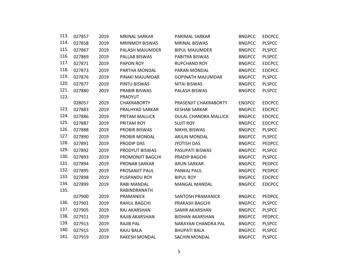| 113. | 027857 | 2019 | <b>MRINAL SARKAR</b>  | PARIMAL SARKAR           | <b>BNGPCC</b> | <b>EDCPCC</b> |
|------|--------|------|-----------------------|--------------------------|---------------|---------------|
| 114. | 027858 | 2019 | <b>MRINMOY BISWAS</b> | <b>MRINAL BISWAS</b>     | <b>BNGPCC</b> | <b>PLSPCC</b> |
| 115. | 027867 | 2019 | PALASH MAJUMDER       | <b>BIPUL MAJUMDER</b>    | <b>BNGPCC</b> | <b>PLSPCC</b> |
| 116. | 027869 | 2019 | PALLAB BISWAS         | PABITRA BISWAS           | <b>BNGPCC</b> | <b>PLSPCC</b> |
| 117. | 027871 | 2019 | PAPON ROY             | <b>RUPCHAND ROY</b>      | <b>BNGPCC</b> | <b>EDCPCC</b> |
| 118. | 027873 | 2019 | PARTHA MONDAL         | PARAN MONDAL             | <b>BNGPCC</b> | <b>EDCPCC</b> |
| 119. | 027876 | 2019 | PINAKI MAJUMDAR       | <b>GOPINATH MAJUMDAR</b> | <b>BNGPCC</b> | <b>PLSPCC</b> |
| 120. | 027877 | 2019 | PINTU BISWAS          | <b>NITAI BISWAS</b>      | <b>BNGPCC</b> | <b>PLSPCC</b> |
| 121. | 027880 | 2019 | <b>PRABIR BISWAS</b>  | PALASH BISWAS            | <b>BNGPCC</b> | <b>PLSPCC</b> |
| 122. |        |      | PRADYUT               |                          |               |               |
|      | 028057 | 2019 | <b>CHAKRABORTY</b>    | PRASENJIT CHAKRABORTY    | <b>ENGPCC</b> | <b>EDCPCC</b> |
| 123. | 027883 | 2019 | PRALHYAD SARKAR       | <b>KESHAB SARKAR</b>     | <b>BNGPCC</b> | <b>EDCPCC</b> |
| 124. | 027886 | 2019 | PRITAM MALLICK        | DULAL CHANDRA MALLICK    | <b>BNGPCC</b> | <b>EDCPCC</b> |
| 125. | 027887 | 2019 | PRITAM ROY            | <b>SUJIT ROY</b>         | <b>BNGPCC</b> | <b>EDCPCC</b> |
| 126. | 027888 | 2019 | <b>PROBIR BISWAS</b>  | <b>NIKHIL BISWAS</b>     | <b>BNGPCC</b> | <b>PLSPCC</b> |
| 127. | 027890 | 2019 | PROBIR MONDAL         | <b>ARJUN MONDAL</b>      | <b>BNGPCC</b> | <b>PLSPCC</b> |
| 128. | 027891 | 2019 | <b>PRODIP DAS</b>     | <b>JYOTISH DAS</b>       | <b>BNGPCC</b> | <b>PEDPCC</b> |
| 129. | 027892 | 2019 | PRODYUT BISWAS        | PASUPATI BISWAS          | <b>BNGPCC</b> | <b>PLSPCC</b> |
| 130. | 027893 | 2019 | PROMONJIT BAGCHI      | PRADIP BAGCHI            | <b>BNGPCC</b> | <b>PLSPCC</b> |
| 131. | 027894 | 2019 | <b>PRONAB SARKAR</b>  | <b>ARUN SARKAR</b>       | <b>BNGPCC</b> | <b>PEDPCC</b> |
| 132. | 027895 | 2019 | PROSANJIT PAUL        | PANKAJ PAUL              | <b>BNGPCC</b> | <b>PEDPCC</b> |
| 133. | 027898 | 2019 | <b>PUSPANDU ROY</b>   | <b>BIPUL ROY</b>         | <b>BNGPCC</b> | <b>EDCPCC</b> |
| 134. | 027899 | 2019 | <b>RABI MANDAL</b>    | <b>MANGAL MANDAL</b>     | <b>BNGPCC</b> | <b>EDCPCC</b> |
| 135. |        |      | RABINDRANATH          |                          |               |               |
|      | 027900 | 2019 | <b>PRAMANICK</b>      | SANTOSH PRAMANICK        | <b>BNGPCC</b> | <b>PEDPCC</b> |
| 136. | 027901 | 2019 | RAHUL BAGCHI          | PRAKASH BAGCHI           | <b>BNGPCC</b> | <b>PLSPCC</b> |
| 137. | 027905 | 2019 | RAJ AKARSHAN          | SAMIR AKARSHAN           | <b>BNGPCC</b> | <b>PLSPCC</b> |
| 138. | 027911 | 2019 | RAJIB AKARSHAN        | <b>BIDHAN AKARSHAN</b>   | <b>BNGPCC</b> | <b>PEDPCC</b> |
| 139. | 027913 | 2019 | <b>RAJIB PAL</b>      | NARAYAN CHANDRA PAL      | <b>BNGPCC</b> | <b>PLSPCC</b> |
| 140. | 027915 | 2019 | <b>RAJU BALA</b>      | <b>BHUPATI BALA</b>      | <b>BNGPCC</b> | <b>PLSPCC</b> |
| 141. | 027919 | 2019 | <b>RAKESH MONDAL</b>  | <b>SACHIN MONDAL</b>     | <b>BNGPCC</b> | <b>PLSPCC</b> |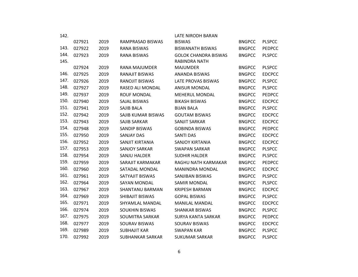| 142. |        |      |                         | LATE NIRODH BARAN           |               |               |
|------|--------|------|-------------------------|-----------------------------|---------------|---------------|
|      | 027921 | 2019 | RAMPRASAD BISWAS        | <b>BISWAS</b>               | <b>BNGPCC</b> | <b>PLSPCC</b> |
| 143. | 027922 | 2019 | <b>RANA BISWAS</b>      | <b>BISWANATH BISWAS</b>     | <b>BNGPCC</b> | <b>PEDPCC</b> |
| 144. | 027923 | 2019 | <b>RANA BISWAS</b>      | <b>GOLOK CHANDRA BISWAS</b> | <b>BNGPCC</b> | <b>PLSPCC</b> |
| 145. |        |      |                         | RABINDRA NATH               |               |               |
|      | 027924 | 2019 | <b>RANA MAJUMDER</b>    | <b>MAJUMDER</b>             | <b>BNGPCC</b> | <b>PLSPCC</b> |
| 146. | 027925 | 2019 | RANAJIT BISWAS          | <b>ANANDA BISWAS</b>        | <b>BNGPCC</b> | <b>EDCPCC</b> |
| 147. | 027926 | 2019 | <b>RANOJIT BISWAS</b>   | <b>LATE PROVAS BISWAS</b>   | <b>BNGPCC</b> | <b>PLSPCC</b> |
| 148. | 027927 | 2019 | RASED ALI MONDAL        | <b>ANISUR MONDAL</b>        | <b>BNGPCC</b> | <b>PLSPCC</b> |
| 149. | 027937 | 2019 | <b>ROUF MONDAL</b>      | <b>MEHERUL MONDAL</b>       | <b>BNGPCC</b> | <b>PEDPCC</b> |
| 150. | 027940 | 2019 | <b>SAJAL BISWAS</b>     | <b>BIKASH BISWAS</b>        | <b>BNGPCC</b> | <b>EDCPCC</b> |
| 151. | 027941 | 2019 | SAJIB BALA              | <b>BIJAN BALA</b>           | <b>BNGPCC</b> | <b>PLSPCC</b> |
| 152. | 027942 | 2019 | SAJIB KUMAR BISWAS      | <b>GOUTAM BISWAS</b>        | <b>BNGPCC</b> | <b>EDCPCC</b> |
| 153. | 027943 | 2019 | <b>SAJIB SARKAR</b>     | SANJIT SARKAR               | <b>BNGPCC</b> | <b>EDCPCC</b> |
| 154. | 027948 | 2019 | <b>SANDIP BISWAS</b>    | <b>GOBINDA BISWAS</b>       | <b>BNGPCC</b> | <b>PEDPCC</b> |
| 155. | 027950 | 2019 | <b>SANJAY DAS</b>       | <b>SANTI DAS</b>            | <b>BNGPCC</b> | <b>EDCPCC</b> |
| 156. | 027952 | 2019 | SANJIT KIRTANIA         | <b>SANJOY KIRTANIA</b>      | <b>BNGPCC</b> | <b>EDCPCC</b> |
| 157. | 027953 | 2019 | <b>SANJOY SARKAR</b>    | <b>SWAPAN SARKAR</b>        | <b>BNGPCC</b> | <b>PLSPCC</b> |
| 158. | 027954 | 2019 | SANJU HALDER            | <b>SUDHIR HALDER</b>        | <b>BNGPCC</b> | <b>PLSPCC</b> |
| 159. | 027959 | 2019 | SARAJIT KARMAKAR        | RAGHU NATH KARMAKAR         | <b>BNGPCC</b> | <b>PEDPCC</b> |
| 160. | 027960 | 2019 | SATADAL MONDAL          | <b>MANINDRA MONDAL</b>      | <b>BNGPCC</b> | <b>EDCPCC</b> |
| 161. | 027961 | 2019 | SATYAJIT BISWAS         | SANJIBAN BISWAS             | <b>BNGPCC</b> | <b>PLSPCC</b> |
| 162. | 027964 | 2019 | <b>SAYAN MONDAL</b>     | <b>SAMIR MONDAL</b>         | <b>BNGPCC</b> | <b>PLSPCC</b> |
| 163. | 027967 | 2019 | <b>SHANTANU BARMAN</b>  | <b>KRIPESH BARMAN</b>       | <b>BNGPCC</b> | <b>EDCPCC</b> |
| 164. | 027969 | 2019 | SHIBAJIT BISWAS         | <b>GOPAL BISWAS</b>         | <b>BNGPCC</b> | <b>PLSPCC</b> |
| 165. | 027971 | 2019 | SHYAMLAL MANDAL         | <b>MANILAL MANDAL</b>       | <b>BNGPCC</b> | <b>EDCPCC</b> |
| 166. | 027974 | 2019 | <b>SOUKHIN BISWAS</b>   | <b>SHANKAR BISWAS</b>       | <b>BNGPCC</b> | <b>PLSPCC</b> |
| 167. | 027975 | 2019 | <b>SOUMITRA SARKAR</b>  | <b>SURYA KANTA SARKAR</b>   | <b>BNGPCC</b> | <b>PEDPCC</b> |
| 168. | 027977 | 2019 | <b>SOURAV BISWAS</b>    | <b>SOURAV BISWAS</b>        | <b>BNGPCC</b> | <b>EDCPCC</b> |
| 169. | 027989 | 2019 | <b>SUBHAJIT KAR</b>     | <b>SWAPAN KAR</b>           | <b>BNGPCC</b> | <b>PLSPCC</b> |
| 170. | 027992 | 2019 | <b>SUBHANKAR SARKAR</b> | <b>SUKUMAR SARKAR</b>       | <b>BNGPCC</b> | <b>PLSPCC</b> |